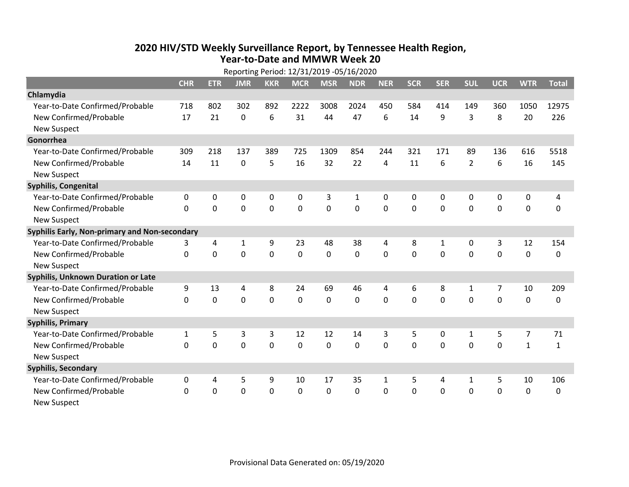## **2020 HIV /STD Weekly Surveillance Report, by Tennessee Health Region, Year‐to‐Date and MMWR Week 20**  $R_{\text{R}}$

| Reporting Period: 12/31/2019 -05/16/2020      |              |             |                |                |             |                |              |              |            |             |                |                |                |              |
|-----------------------------------------------|--------------|-------------|----------------|----------------|-------------|----------------|--------------|--------------|------------|-------------|----------------|----------------|----------------|--------------|
|                                               | <b>CHR</b>   | <b>ETR</b>  | <b>JMR</b>     | <b>KKR</b>     | <b>MCR</b>  | <b>MSR</b>     | <b>NDR</b>   | <b>NER</b>   | <b>SCR</b> | <b>SER</b>  | <b>SUL</b>     | <b>UCR</b>     | <b>WTR</b>     | <b>Total</b> |
| Chlamydia                                     |              |             |                |                |             |                |              |              |            |             |                |                |                |              |
| Year-to-Date Confirmed/Probable               | 718          | 802         | 302            | 892            | 2222        | 3008           | 2024         | 450          | 584        | 414         | 149            | 360            | 1050           | 12975        |
| New Confirmed/Probable                        | 17           | 21          | $\mathbf 0$    | 6              | 31          | 44             | 47           | 6            | 14         | 9           | 3              | 8              | 20             | 226          |
| <b>New Suspect</b>                            |              |             |                |                |             |                |              |              |            |             |                |                |                |              |
| Gonorrhea                                     |              |             |                |                |             |                |              |              |            |             |                |                |                |              |
| Year-to-Date Confirmed/Probable               | 309          | 218         | 137            | 389            | 725         | 1309           | 854          | 244          | 321        | 171         | 89             | 136            | 616            | 5518         |
| New Confirmed/Probable                        | 14           | 11          | $\mathbf 0$    | 5              | 16          | 32             | 22           | 4            | 11         | 6           | $\overline{2}$ | 6              | 16             | 145          |
| <b>New Suspect</b>                            |              |             |                |                |             |                |              |              |            |             |                |                |                |              |
| <b>Syphilis, Congenital</b>                   |              |             |                |                |             |                |              |              |            |             |                |                |                |              |
| Year-to-Date Confirmed/Probable               | 0            | 0           | 0              | 0              | 0           | 3              | $\mathbf{1}$ | 0            | 0          | 0           | 0              | 0              | 0              | 4            |
| New Confirmed/Probable                        | $\Omega$     | $\mathbf 0$ | $\mathbf 0$    | $\overline{0}$ | $\mathbf 0$ | $\overline{0}$ | 0            | $\Omega$     | $\Omega$   | $\Omega$    | $\mathbf 0$    | $\mathbf 0$    | $\mathbf 0$    | 0            |
| <b>New Suspect</b>                            |              |             |                |                |             |                |              |              |            |             |                |                |                |              |
| Syphilis Early, Non-primary and Non-secondary |              |             |                |                |             |                |              |              |            |             |                |                |                |              |
| Year-to-Date Confirmed/Probable               | 3            | 4           | 1              | 9              | 23          | 48             | 38           | 4            | 8          | 1           | 0              | 3              | 12             | 154          |
| New Confirmed/Probable                        | $\mathbf{0}$ | $\mathbf 0$ | 0              | $\overline{0}$ | $\mathbf 0$ | $\mathbf 0$    | 0            | $\Omega$     | $\Omega$   | $\mathbf 0$ | 0              | $\mathbf 0$    | $\mathbf 0$    | 0            |
| <b>New Suspect</b>                            |              |             |                |                |             |                |              |              |            |             |                |                |                |              |
| Syphilis, Unknown Duration or Late            |              |             |                |                |             |                |              |              |            |             |                |                |                |              |
| Year-to-Date Confirmed/Probable               | 9            | 13          | 4              | 8              | 24          | 69             | 46           | 4            | 6          | 8           | $\mathbf{1}$   | $\overline{7}$ | 10             | 209          |
| New Confirmed/Probable                        | 0            | $\mathbf 0$ | 0              | $\overline{0}$ | $\mathbf 0$ | 0              | 0            | $\Omega$     | $\Omega$   | $\mathbf 0$ | $\mathbf 0$    | $\mathbf 0$    | $\mathbf 0$    | 0            |
| <b>New Suspect</b>                            |              |             |                |                |             |                |              |              |            |             |                |                |                |              |
| <b>Syphilis, Primary</b>                      |              |             |                |                |             |                |              |              |            |             |                |                |                |              |
| Year-to-Date Confirmed/Probable               | $\mathbf{1}$ | 5           | 3              | 3              | 12          | 12             | 14           | 3            | 5          | 0           | 1              | 5              | $\overline{7}$ | 71           |
| New Confirmed/Probable                        | 0            | 0           | $\overline{0}$ | $\overline{0}$ | $\mathbf 0$ | $\mathbf 0$    | 0            | $\Omega$     | $\Omega$   | 0           | $\mathbf 0$    | $\mathbf 0$    | $\mathbf{1}$   | $\mathbf{1}$ |
| <b>New Suspect</b>                            |              |             |                |                |             |                |              |              |            |             |                |                |                |              |
| <b>Syphilis, Secondary</b>                    |              |             |                |                |             |                |              |              |            |             |                |                |                |              |
| Year-to-Date Confirmed/Probable               | 0            | 4           | 5              | 9              | 10          | 17             | 35           | $\mathbf{1}$ | 5          | 4           | $\mathbf{1}$   | 5              | 10             | 106          |
| New Confirmed/Probable                        | $\mathbf{0}$ | 0           | 0              | 0              | $\mathbf 0$ | 0              | 0            | $\mathbf 0$  | $\Omega$   | 0           | 0              | $\mathbf 0$    | $\mathbf 0$    | 0            |
| <b>New Suspect</b>                            |              |             |                |                |             |                |              |              |            |             |                |                |                |              |